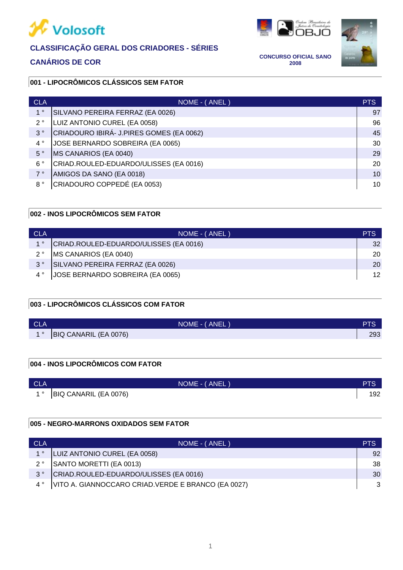



**CANÁRIOS DE COR CONCURSO OFICIAL SANO 2008**



# **001 - LIPOCRÔMICOS CLÁSSICOS SEM FATOR**

| <b>CLA</b>     | NOME - (ANEL)                            | <b>PTS</b> |
|----------------|------------------------------------------|------------|
| 1 <sup>°</sup> | SILVANO PEREIRA FERRAZ (EA 0026)         | 97         |
| $2^{\circ}$    | LUIZ ANTONIO CUREL (EA 0058)             | 96         |
| 3 <sup>°</sup> | CRIADOURO IBIRÁ- J.PIRES GOMES (EA 0062) | 45         |
| $4^{\circ}$    | JOSE BERNARDO SOBREIRA (EA 0065)         | 30         |
| $5^{\circ}$    | MS CANARIOS (EA 0040)                    | 29         |
| $6^{\circ}$    | CRIAD.ROULED-EDUARDO/ULISSES (EA 0016)   | 20         |
| 7°             | AMIGOS DA SANO (EA 0018)                 | 10         |
| $8^{\circ}$    | CRIADOURO COPPEDÉ (EA 0053)              | 10         |

# **002 - INOS LIPOCRÔMICOS SEM FATOR**

| <b>CLA</b>     | NOME - (ANEL)                          | PTS             |
|----------------|----------------------------------------|-----------------|
| 1 <sup>°</sup> | CRIAD.ROULED-EDUARDO/ULISSES (EA 0016) | 32              |
| $2^{\circ}$    | MS CANARIOS (EA 0040)                  | 20              |
| $3^{\circ}$    | SILVANO PEREIRA FERRAZ (EA 0026)       | 20              |
|                | JOSE BERNARDO SOBREIRA (EA 0065)       | 12 <sup>°</sup> |

# **003 - LIPOCRÔMICOS CLÁSSICOS COM FATOR**

| <b>CLA</b>                    | NOME - (ANEL)         | <b>PTS</b> |
|-------------------------------|-----------------------|------------|
| $\overline{4}$ $\overline{0}$ | BIQ CANARIL (EA 0076) | 293        |

## **004 - INOS LIPOCRÔMICOS COM FATOR**

| <b>CLA</b> | NOME - (ANEL)         | <b>PTS</b> |
|------------|-----------------------|------------|
| <b>40</b>  | BIQ CANARIL (EA 0076) | 192        |

# **005 - NEGRO-MARRONS OXIDADOS SEM FATOR**

| CLA         | NOME - (ANEL)                                       | PTS |
|-------------|-----------------------------------------------------|-----|
| $1^{\circ}$ | LUIZ ANTONIO CUREL (EA 0058)                        | 92  |
| $2^{\circ}$ | SANTO MORETTI (EA 0013)                             | 38  |
| $3^{\circ}$ | CRIAD.ROULED-EDUARDO/ULISSES (EA 0016)              | 30  |
|             | VITO A. GIANNOCCARO CRIAD. VERDE E BRANCO (EA 0027) |     |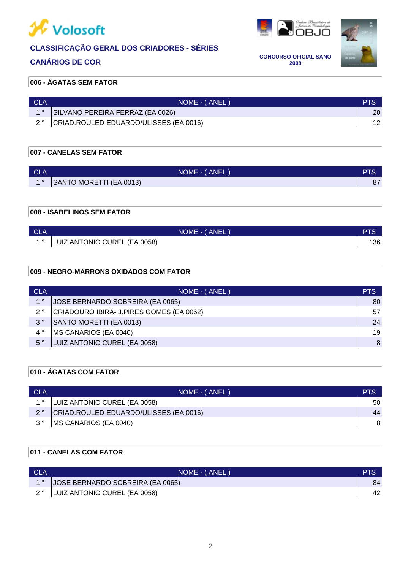

# **CANÁRIOS DE COR CONCURSO OFICIAL SANO**



**2008**



# **006 - ÁGATAS SEM FATOR**

| <b>CLA</b> | NOME - (ANEL)                          |                 |
|------------|----------------------------------------|-----------------|
|            | SILVANO PEREIRA FERRAZ (EA 0026)       | 20 <sup>°</sup> |
|            | CRIAD.ROULED-EDUARDO/ULISSES (EA 0016) |                 |

# **007 - CANELAS SEM FATOR**

| <b>CLA</b>       | NOME - (ANEL)           | DTC<br>76 |
|------------------|-------------------------|-----------|
| $\overline{4}$ 0 | SANTO MORETTI (EA 0013) | 07<br>07  |

# **008 - ISABELINOS SEM FATOR**

| <b>CLA</b> |                                    | NOME - (ANEL) | PTS |
|------------|------------------------------------|---------------|-----|
|            | 1 °   LUIZ ANTONIO CUREL (EA 0058) |               | 136 |

## **009 - NEGRO-MARRONS OXIDADOS COM FATOR**

| <b>CLA</b>     | NOME - (ANEL)                            | <b>PTS</b> |
|----------------|------------------------------------------|------------|
| 1 <sup>°</sup> | JOSE BERNARDO SOBREIRA (EA 0065)         | 80         |
| $2^{\circ}$    | CRIADOURO IBIRÁ- J.PIRES GOMES (EA 0062) | 57         |
| $3^{\circ}$    | SANTO MORETTI (EA 0013)                  | 24         |
| $4^{\circ}$    | MS CANARIOS (EA 0040)                    | 19         |
| $5^{\circ}$    | LUIZ ANTONIO CUREL (EA 0058)             | 8          |

# **010 - ÁGATAS COM FATOR**

| <b>CLA</b>  | NOME - (ANEL)                          | PTS |
|-------------|----------------------------------------|-----|
|             | LUIZ ANTONIO CUREL (EA 0058)           | 50  |
| $2^{\circ}$ | CRIAD.ROULED-EDUARDO/ULISSES (EA 0016) | 44  |
| २ ०         | MS CANARIOS (EA 0040)                  |     |

# **011 - CANELAS COM FATOR**

| <b>CLA</b> | NOME - (ANEL)                        | <b>PTS</b> |
|------------|--------------------------------------|------------|
|            | 1°  JOSE BERNARDO SOBREIRA (EA 0065) | 84         |
|            | 2°  LUIZ ANTONIO CUREL (EA 0058)     | 42         |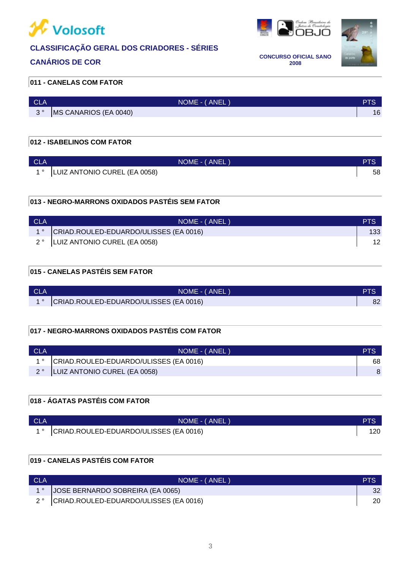

# **CANÁRIOS DE COR CONCURSO OFICIAL SANO**



**2008**

### **011 - CANELAS COM FATOR**

| <b>CLA</b>  | NOME - (ANEL)         |    |
|-------------|-----------------------|----|
| $2^{\circ}$ | MS CANARIOS (EA 0040) | 16 |

# **012 - ISABELINOS COM FATOR**

| <b>CLA</b> | NOME - (ANEL)                | סדכ |
|------------|------------------------------|-----|
|            | LUIZ ANTONIO CUREL (EA 0058) | 58  |

# **013 - NEGRO-MARRONS OXIDADOS PASTÉIS SEM FATOR**

| CLA | NOME - (ANEL)                          | <b>PTS</b>       |
|-----|----------------------------------------|------------------|
|     | CRIAD.ROULED-EDUARDO/ULISSES (EA 0016) | 133 <sup>°</sup> |
|     | 2°  LUIZ ANTONIO CUREL (EA 0058)       | 12               |

# **015 - CANELAS PASTÉIS SEM FATOR**

| CLA | NOME - (ANEL)                                         |    |
|-----|-------------------------------------------------------|----|
|     | 1 <sup>°</sup> CRIAD.ROULED-EDUARDO/ULISSES (EA 0016) | 82 |

# **017 - NEGRO-MARRONS OXIDADOS PASTÉIS COM FATOR**

| <b>CLA</b> | NOME - (ANEL)                             |    |
|------------|-------------------------------------------|----|
|            | 1° CRIAD.ROULED-EDUARDO/ULISSES (EA 0016) | 68 |
|            | 2°  LUIZ ANTONIO CUREL (EA 0058)          |    |

# **018 - ÁGATAS PASTÉIS COM FATOR**

| CLA | NOME - (ANEL)                             |     |
|-----|-------------------------------------------|-----|
|     | 1° CRIAD.ROULED-EDUARDO/ULISSES (EA 0016) | 120 |

# **019 - CANELAS PASTÉIS COM FATOR**

| <b>CLA</b> | NOME - (ANEL)                             | <b>PTS</b> |
|------------|-------------------------------------------|------------|
|            | JOSE BERNARDO SOBREIRA (EA 0065)          | 32.        |
|            | 2° CRIAD.ROULED-EDUARDO/ULISSES (EA 0016) | 20         |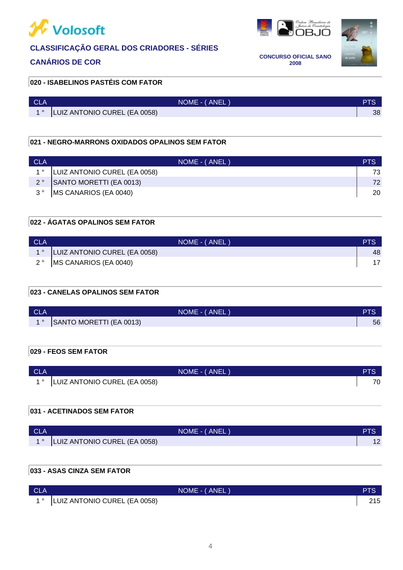

**OBJO** 



**CANÁRIOS DE COR CONCURSO OFICIAL SANO 2008**

### **020 - ISABELINOS PASTÉIS COM FATOR**

| <b>CLA</b> | NOME - (ANEL)                |    |
|------------|------------------------------|----|
|            | LUIZ ANTONIO CUREL (EA 0058) | 38 |

### **021 - NEGRO-MARRONS OXIDADOS OPALINOS SEM FATOR**

| <b>CLA</b>  | NOME - (ANEL)                | <b>PTS</b> |
|-------------|------------------------------|------------|
|             | LUIZ ANTONIO CUREL (EA 0058) |            |
| $2^{\circ}$ | SANTO MORETTI (EA 0013)      | 72.        |
| $3^{\circ}$ | MS CANARIOS (EA 0040)        | 20         |

# **022 - ÁGATAS OPALINOS SEM FATOR**

| <b>CLA</b> | NOME - (ANEL)                    | <b>PTS</b> |
|------------|----------------------------------|------------|
|            | 1°  LUIZ ANTONIO CUREL (EA 0058) | 48         |
|            | 2° MS CANARIOS (EA 0040)         |            |

### **023 - CANELAS OPALINOS SEM FATOR**

| <b>CLA</b>  | NOME - (ANEL)           |    |
|-------------|-------------------------|----|
| $1^{\circ}$ | SANTO MORETTI (EA 0013) | 56 |
|             |                         |    |

### **029 - FEOS SEM FATOR**

| <b>CLA</b> | NOME - (ANEL                 | PTS.         |
|------------|------------------------------|--------------|
|            | LUIZ ANTONIO CUREL (EA 0058) | $70^{\circ}$ |

# **031 - ACETINADOS SEM FATOR**

| <b>CLA</b> | NOME - (ANEL                 | a lo |
|------------|------------------------------|------|
|            | LUIZ ANTONIO CUREL (EA 0058) | 1 Z  |

# **033 - ASAS CINZA SEM FATOR**

| <b>CLA</b> |                                   | NOME - (ANEL) | PTS |
|------------|-----------------------------------|---------------|-----|
|            | 1 °  LUIZ ANTONIO CUREL (EA 0058) |               | 215 |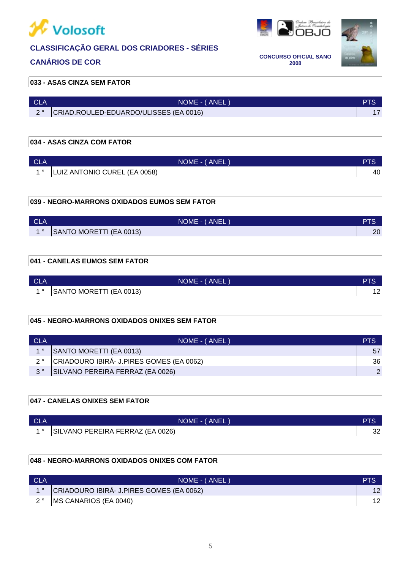



**CANÁRIOS DE COR CONCURSO OFICIAL SANO 2008**



### **033 - ASAS CINZA SEM FATOR**

| ∣ CLA | NOME - (ANEL)                          |  |
|-------|----------------------------------------|--|
|       | CRIAD.ROULED-EDUARDO/ULISSES (EA 0016) |  |

# **034 - ASAS CINZA COM FATOR**

| <b>CLA</b> | NOME - (ANEL)                | PTS |
|------------|------------------------------|-----|
|            | LUIZ ANTONIO CUREL (EA 0058) | 40  |

## **039 - NEGRO-MARRONS OXIDADOS EUMOS SEM FATOR**

| <b>CLA</b> | NOME - (ANEL)           | <b>PTS</b> |
|------------|-------------------------|------------|
| 10         | SANTO MORETTI (EA 0013) | 20         |

## **041 - CANELAS EUMOS SEM FATOR**

| <b>CLA</b> | NOME - (ANEL)           | PTS      |
|------------|-------------------------|----------|
|            | SANTO MORETTI (EA 0013) | ៱<br>' 4 |

# **045 - NEGRO-MARRONS OXIDADOS ONIXES SEM FATOR**

| - CLA       | NOME - (ANEL)                            |    |
|-------------|------------------------------------------|----|
|             | SANTO MORETTI (EA 0013)                  | 57 |
| $2^{\circ}$ | CRIADOURO IBIRÁ- J.PIRES GOMES (EA 0062) | 36 |
|             | SILVANO PEREIRA FERRAZ (EA 0026)         |    |

# **047 - CANELAS ONIXES SEM FATOR**

| <b>CLA</b> | NOME - (ANEL)                       |    |
|------------|-------------------------------------|----|
|            | 1° SILVANO PEREIRA FERRAZ (EA 0026) | 32 |

## **048 - NEGRO-MARRONS OXIDADOS ONIXES COM FATOR**

| <b>CLA</b> | NOME - (ANEL)                                           | <b>PIS</b>      |
|------------|---------------------------------------------------------|-----------------|
|            | 1 <sup>°</sup> CRIADOURO IBIRÁ- J.PIRES GOMES (EA 0062) | 12 <sup>2</sup> |
|            | 2° MS CANARIOS (EA 0040)                                |                 |